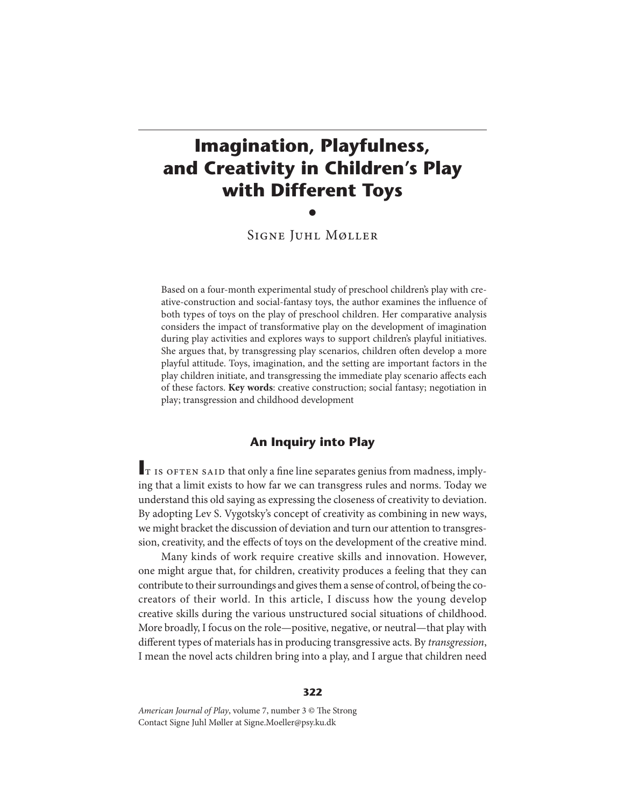# **Imagination, Playfulness, and Creativity in Children's Play with Different Toys** •

Signe Juhl Møller

Based on a four-month experimental study of preschool children's play with creative-construction and social-fantasy toys, the author examines the influence of both types of toys on the play of preschool children. Her comparative analysis considers the impact of transformative play on the development of imagination during play activities and explores ways to support children's playful initiatives. She argues that, by transgressing play scenarios, children often develop a more playful attitude. Toys, imagination, and the setting are important factors in the play children initiate, and transgressing the immediate play scenario affects each of these factors. **Key words**: creative construction; social fantasy; negotiation in play; transgression and childhood development

# **An Inquiry into Play**

It is often said that only a fine line separates genius from madness, implying that a limit exists to how far we can transgress rules and norms. Today we understand this old saying as expressing the closeness of creativity to deviation. By adopting Lev S. Vygotsky's concept of creativity as combining in new ways, we might bracket the discussion of deviation and turn our attention to transgression, creativity, and the effects of toys on the development of the creative mind.

Many kinds of work require creative skills and innovation. However, one might argue that, for children, creativity produces a feeling that they can contribute to their surroundings and gives them a sense of control, of being the cocreators of their world. In this article, I discuss how the young develop creative skills during the various unstructured social situations of childhood. More broadly, I focus on the role—positive, negative, or neutral—that play with different types of materials has in producing transgressive acts. By transgression, I mean the novel acts children bring into a play, and I argue that children need

### **322**

American Journal of Play, volume 7, number 3 © The Strong Contact Signe Juhl Møller at Signe.Moeller@psy.ku.dk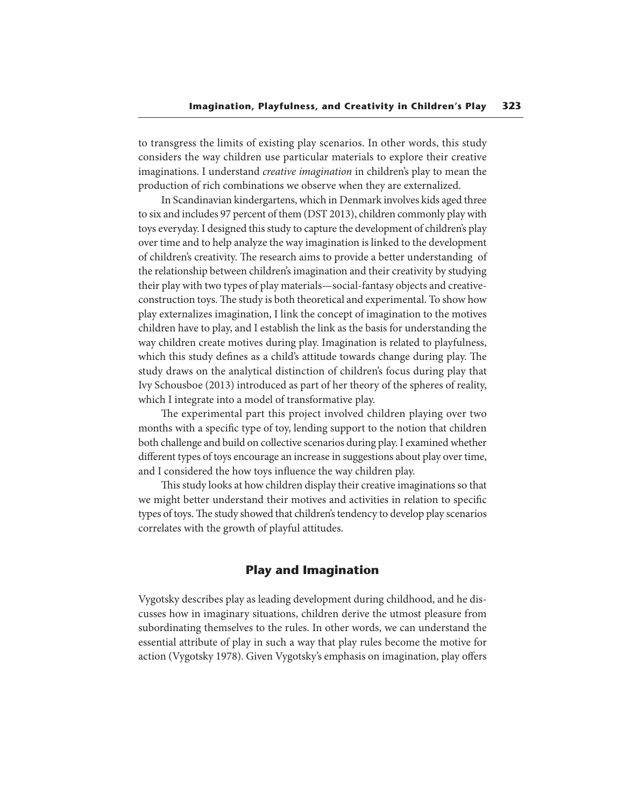to transgress the limits of existing play scenarios. In other words, this study considers the way children use particular materials to explore their creative imaginations. I understand creative imagination in children's play to mean the production of rich combinations we observe when they are externalized.

In Scandinavian kindergartens, which in Denmark involves kids aged three to six and includes 97 percent of them (DST 2013), children commonly play with toys everyday. I designed this study to capture the development of children's play over time and to help analyze the way imagination is linked to the development of children's creativity. The research aims to provide a better understanding of the relationship between children's imagination and their creativity by studying their play with two types of play materials—social-fantasy objects and creativeconstruction toys. The study is both theoretical and experimental. To show how play externalizes imagination, I link the concept of imagination to the motives children have to play, and I establish the link as the basis for understanding the way children create motives during play. Imagination is related to playfulness, which this study defines as a child's attitude towards change during play. The study draws on the analytical distinction of children's focus during play that Ivy Schousboe (2013) introduced as part of her theory of the spheres of reality, which I integrate into a model of transformative play.

The experimental part this project involved children playing over two months with a specific type of toy, lending support to the notion that children both challenge and build on collective scenarios during play. I examined whether different types of toys encourage an increase in suggestions about play over time, and I considered the how toys influence the way children play.

This study looks at how children display their creative imaginations so that we might better understand their motives and activities in relation to specific types of toys. The study showed that children's tendency to develop play scenarios correlates with the growth of playful attitudes.

# **Play and Imagination**

Vygotsky describes play as leading development during childhood, and he discusses how in imaginary situations, children derive the utmost pleasure from subordinating themselves to the rules. In other words, we can understand the essential attribute of play in such a way that play rules become the motive for action (Vygotsky 1978). Given Vygotsky's emphasis on imagination, play offers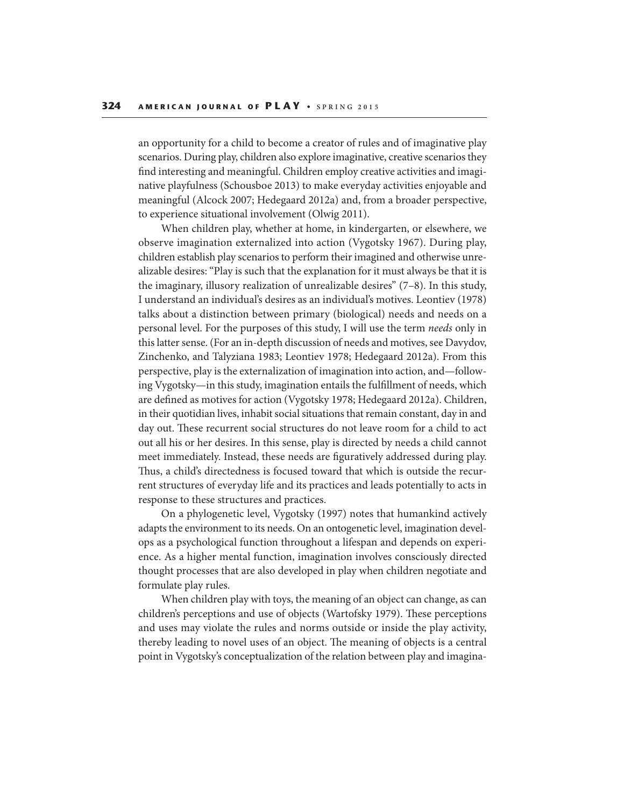an opportunity for a child to become a creator of rules and of imaginative play scenarios. During play, children also explore imaginative, creative scenarios they find interesting and meaningful. Children employ creative activities and imaginative playfulness (Schousboe 2013) to make everyday activities enjoyable and meaningful (Alcock 2007; Hedegaard 2012a) and, from a broader perspective, to experience situational involvement (Olwig 2011).

When children play, whether at home, in kindergarten, or elsewhere, we observe imagination externalized into action (Vygotsky 1967). During play, children establish play scenarios to perform their imagined and otherwise unrealizable desires: "Play is such that the explanation for it must always be that it is the imaginary, illusory realization of unrealizable desires" (7–8). In this study, I understand an individual's desires as an individual's motives. Leontiev (1978) talks about a distinction between primary (biological) needs and needs on a personal level. For the purposes of this study, I will use the term needs only in this latter sense. (For an in-depth discussion of needs and motives, see Davydov, Zinchenko, and Talyziana 1983; Leontiev 1978; Hedegaard 2012a). From this perspective, play is the externalization of imagination into action, and—following Vygotsky—in this study, imagination entails the fulfillment of needs, which are defined as motives for action (Vygotsky 1978; Hedegaard 2012a). Children, in their quotidian lives, inhabit social situations that remain constant, day in and day out. These recurrent social structures do not leave room for a child to act out all his or her desires. In this sense, play is directed by needs a child cannot meet immediately. Instead, these needs are figuratively addressed during play. Thus, a child's directedness is focused toward that which is outside the recurrent structures of everyday life and its practices and leads potentially to acts in response to these structures and practices.

On a phylogenetic level, Vygotsky (1997) notes that humankind actively adapts the environment to its needs. On an ontogenetic level, imagination develops as a psychological function throughout a lifespan and depends on experience. As a higher mental function, imagination involves consciously directed thought processes that are also developed in play when children negotiate and formulate play rules.

When children play with toys, the meaning of an object can change, as can children's perceptions and use of objects (Wartofsky 1979). These perceptions and uses may violate the rules and norms outside or inside the play activity, thereby leading to novel uses of an object. The meaning of objects is a central point in Vygotsky's conceptualization of the relation between play and imagina-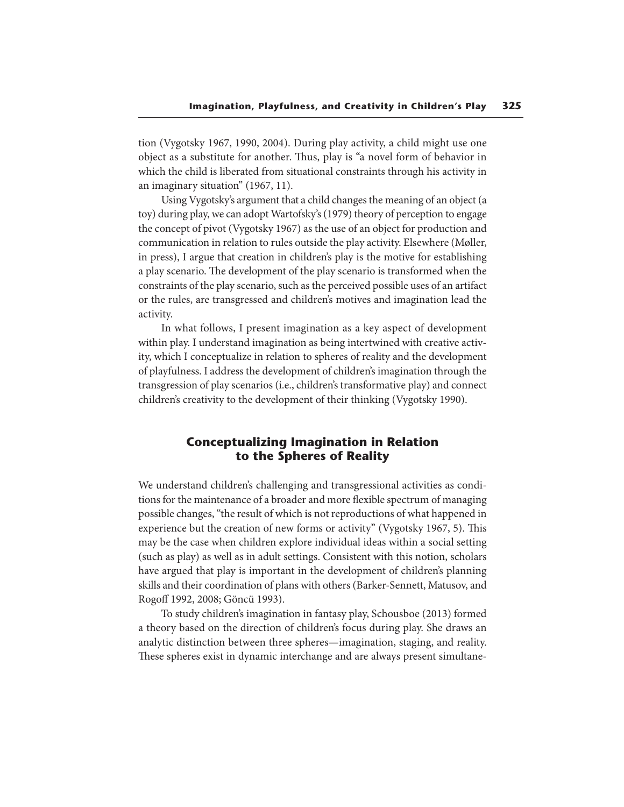tion (Vygotsky 1967, 1990, 2004). During play activity, a child might use one object as a substitute for another. Thus, play is "a novel form of behavior in which the child is liberated from situational constraints through his activity in an imaginary situation" (1967, 11).

Using Vygotsky's argument that a child changes the meaning of an object (a toy) during play, we can adopt Wartofsky's (1979) theory of perception to engage the concept of pivot (Vygotsky 1967) as the use of an object for production and communication in relation to rules outside the play activity. Elsewhere (Møller, in press), I argue that creation in children's play is the motive for establishing a play scenario. The development of the play scenario is transformed when the constraints of the play scenario, such as the perceived possible uses of an artifact or the rules, are transgressed and children's motives and imagination lead the activity.

In what follows, I present imagination as a key aspect of development within play. I understand imagination as being intertwined with creative activity, which I conceptualize in relation to spheres of reality and the development of playfulness. I address the development of children's imagination through the transgression of play scenarios (i.e., children's transformative play) and connect children's creativity to the development of their thinking (Vygotsky 1990).

# **Conceptualizing Imagination in Relation to the Spheres of Reality**

We understand children's challenging and transgressional activities as conditions for the maintenance of a broader and more flexible spectrum of managing possible changes, "the result of which is not reproductions of what happened in experience but the creation of new forms or activity" (Vygotsky 1967, 5). This may be the case when children explore individual ideas within a social setting (such as play) as well as in adult settings. Consistent with this notion, scholars have argued that play is important in the development of children's planning skills and their coordination of plans with others (Barker-Sennett, Matusov, and Rogoff 1992, 2008; Göncü 1993).

To study children's imagination in fantasy play, Schousboe (2013) formed a theory based on the direction of children's focus during play. She draws an analytic distinction between three spheres—imagination, staging, and reality. These spheres exist in dynamic interchange and are always present simultane-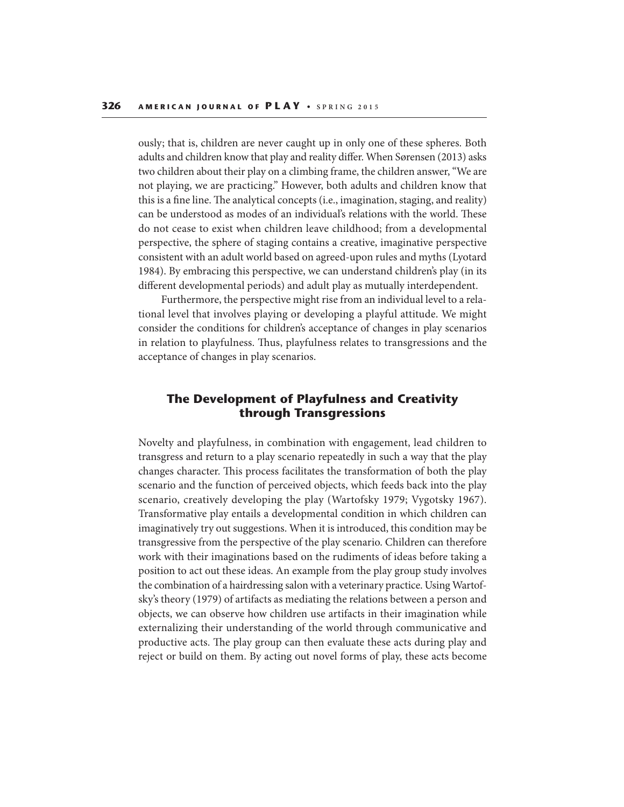ously; that is, children are never caught up in only one of these spheres. Both adults and children know that play and reality differ. When Sørensen (2013) asks two children about their play on a climbing frame, the children answer, "We are not playing, we are practicing." However, both adults and children know that this is a fine line. The analytical concepts (i.e., imagination, staging, and reality) can be understood as modes of an individual's relations with the world. These do not cease to exist when children leave childhood; from a developmental perspective, the sphere of staging contains a creative, imaginative perspective consistent with an adult world based on agreed-upon rules and myths (Lyotard 1984). By embracing this perspective, we can understand children's play (in its different developmental periods) and adult play as mutually interdependent.

Furthermore, the perspective might rise from an individual level to a relational level that involves playing or developing a playful attitude. We might consider the conditions for children's acceptance of changes in play scenarios in relation to playfulness. Thus, playfulness relates to transgressions and the acceptance of changes in play scenarios.

# **The Development of Playfulness and Creativity through Transgressions**

Novelty and playfulness, in combination with engagement, lead children to transgress and return to a play scenario repeatedly in such a way that the play changes character. This process facilitates the transformation of both the play scenario and the function of perceived objects, which feeds back into the play scenario, creatively developing the play (Wartofsky 1979; Vygotsky 1967). Transformative play entails a developmental condition in which children can imaginatively try out suggestions. When it is introduced, this condition may be transgressive from the perspective of the play scenario. Children can therefore work with their imaginations based on the rudiments of ideas before taking a position to act out these ideas. An example from the play group study involves the combination of a hairdressing salon with a veterinary practice. Using Wartofsky's theory (1979) of artifacts as mediating the relations between a person and objects, we can observe how children use artifacts in their imagination while externalizing their understanding of the world through communicative and productive acts. The play group can then evaluate these acts during play and reject or build on them. By acting out novel forms of play, these acts become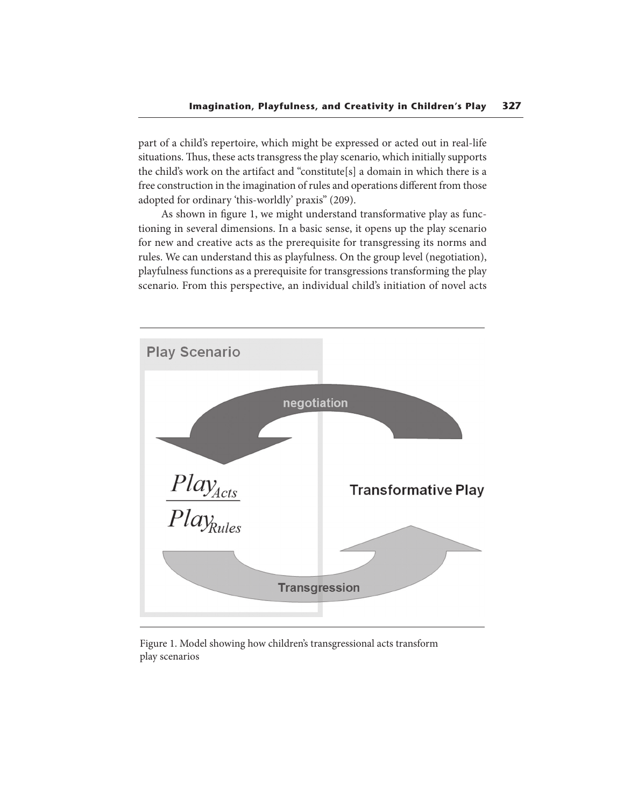part of a child's repertoire, which might be expressed or acted out in real-life situations. Thus, these acts transgress the play scenario, which initially supports the child's work on the artifact and "constitute[s] a domain in which there is a free construction in the imagination of rules and operations different from those adopted for ordinary 'this-worldly' praxis" (209).

As shown in figure 1, we might understand transformative play as functioning in several dimensions. In a basic sense, it opens up the play scenario for new and creative acts as the prerequisite for transgressing its norms and rules. We can understand this as playfulness. On the group level (negotiation), playfulness functions as a prerequisite for transgressions transforming the play scenario. From this perspective, an individual child's initiation of novel acts



Figure 1. Model showing how children's transgressional acts transform play scenarios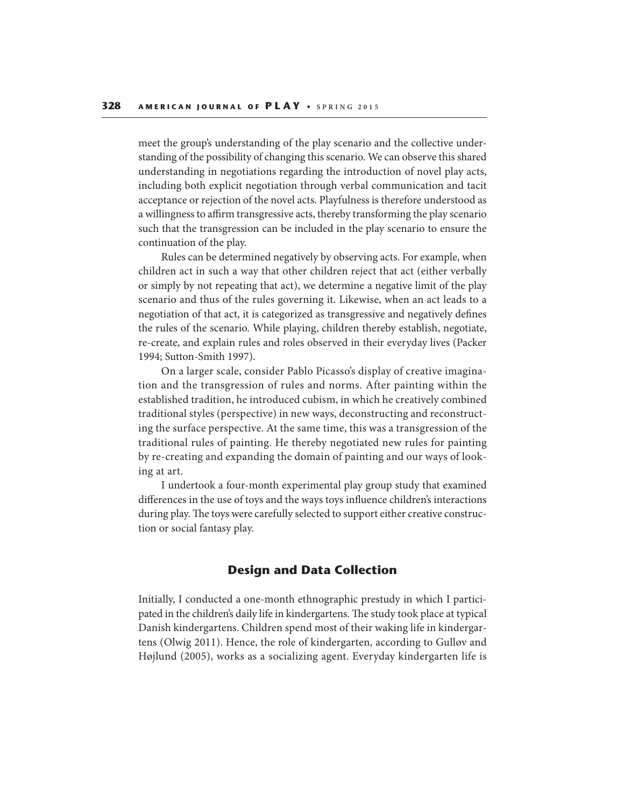meet the group's understanding of the play scenario and the collective understanding of the possibility of changing this scenario. We can observe this shared understanding in negotiations regarding the introduction of novel play acts, including both explicit negotiation through verbal communication and tacit acceptance or rejection of the novel acts. Playfulness is therefore understood as a willingness to affirm transgressive acts, thereby transforming the play scenario such that the transgression can be included in the play scenario to ensure the continuation of the play.

Rules can be determined negatively by observing acts. For example, when children act in such a way that other children reject that act (either verbally or simply by not repeating that act), we determine a negative limit of the play scenario and thus of the rules governing it. Likewise, when an act leads to a negotiation of that act, it is categorized as transgressive and negatively defines the rules of the scenario. While playing, children thereby establish, negotiate, re-create, and explain rules and roles observed in their everyday lives (Packer 1994; Sutton-Smith 1997).

On a larger scale, consider Pablo Picasso's display of creative imagination and the transgression of rules and norms. After painting within the established tradition, he introduced cubism, in which he creatively combined traditional styles (perspective) in new ways, deconstructing and reconstructing the surface perspective. At the same time, this was a transgression of the traditional rules of painting. He thereby negotiated new rules for painting by re-creating and expanding the domain of painting and our ways of looking at art.

I undertook a four-month experimental play group study that examined differences in the use of toys and the ways toys influence children's interactions during play. The toys were carefully selected to support either creative construction or social fantasy play.

# **Design and Data Collection**

Initially, I conducted a one-month ethnographic prestudy in which I participated in the children's daily life in kindergartens. The study took place at typical Danish kindergartens. Children spend most of their waking life in kindergartens (Olwig 2011). Hence, the role of kindergarten, according to Gulløv and Højlund (2005), works as a socializing agent. Everyday kindergarten life is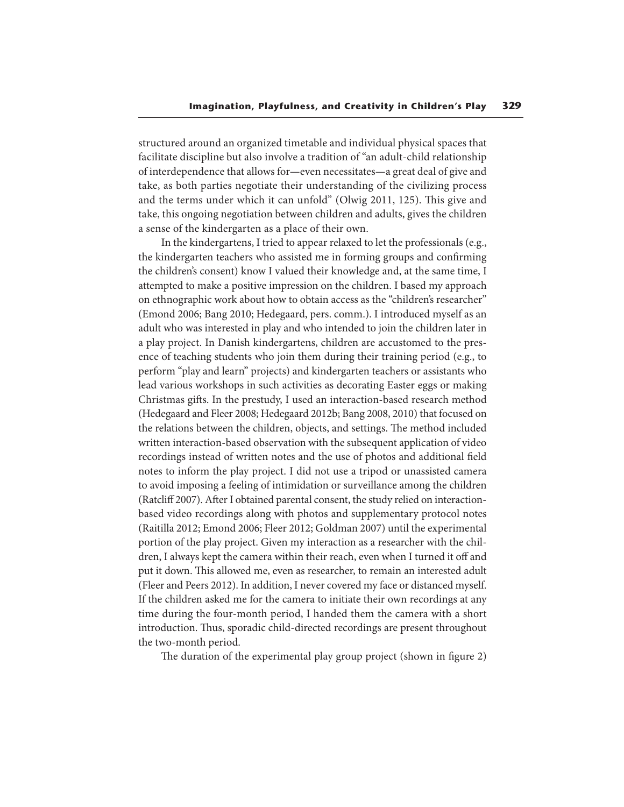structured around an organized timetable and individual physical spaces that facilitate discipline but also involve a tradition of "an adult-child relationship of interdependence that allows for—even necessitates—a great deal of give and take, as both parties negotiate their understanding of the civilizing process and the terms under which it can unfold" (Olwig 2011, 125). This give and take, this ongoing negotiation between children and adults, gives the children a sense of the kindergarten as a place of their own.

In the kindergartens, I tried to appear relaxed to let the professionals (e.g., the kindergarten teachers who assisted me in forming groups and confirming the children's consent) know I valued their knowledge and, at the same time, I attempted to make a positive impression on the children. I based my approach on ethnographic work about how to obtain access as the "children's researcher" (Emond 2006; Bang 2010; Hedegaard, pers. comm.). I introduced myself as an adult who was interested in play and who intended to join the children later in a play project. In Danish kindergartens, children are accustomed to the presence of teaching students who join them during their training period (e.g., to perform "play and learn" projects) and kindergarten teachers or assistants who lead various workshops in such activities as decorating Easter eggs or making Christmas gifts. In the prestudy, I used an interaction-based research method (Hedegaard and Fleer 2008; Hedegaard 2012b; Bang 2008, 2010) that focused on the relations between the children, objects, and settings. The method included written interaction-based observation with the subsequent application of video recordings instead of written notes and the use of photos and additional field notes to inform the play project. I did not use a tripod or unassisted camera to avoid imposing a feeling of intimidation or surveillance among the children (Ratcliff 2007). After I obtained parental consent, the study relied on interactionbased video recordings along with photos and supplementary protocol notes (Raitilla 2012; Emond 2006; Fleer 2012; Goldman 2007) until the experimental portion of the play project. Given my interaction as a researcher with the children, I always kept the camera within their reach, even when I turned it off and put it down. This allowed me, even as researcher, to remain an interested adult (Fleer and Peers 2012). In addition, I never covered my face or distanced myself. If the children asked me for the camera to initiate their own recordings at any time during the four-month period, I handed them the camera with a short introduction. Thus, sporadic child-directed recordings are present throughout the two-month period.

The duration of the experimental play group project (shown in figure 2)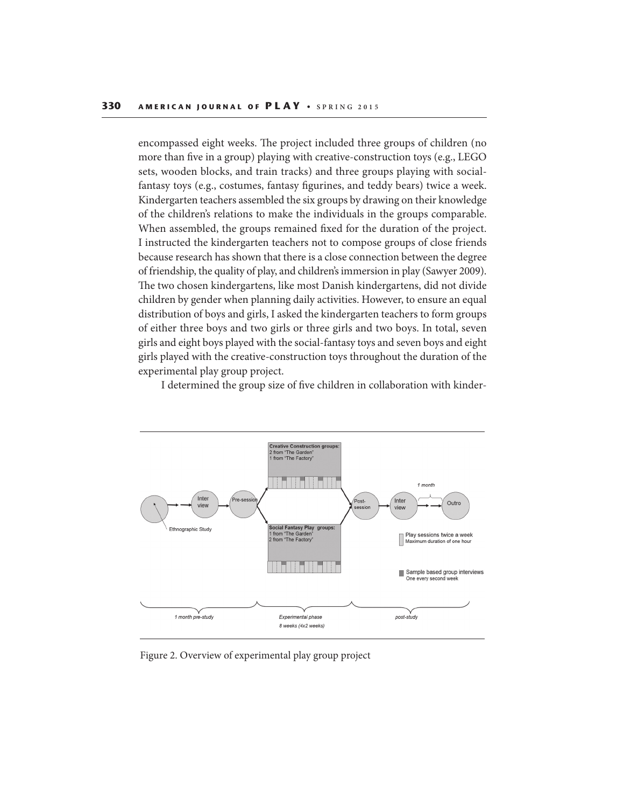encompassed eight weeks. The project included three groups of children (no more than five in a group) playing with creative-construction toys (e.g., LEGO sets, wooden blocks, and train tracks) and three groups playing with socialfantasy toys (e.g., costumes, fantasy figurines, and teddy bears) twice a week. Kindergarten teachers assembled the six groups by drawing on their knowledge of the children's relations to make the individuals in the groups comparable. When assembled, the groups remained fixed for the duration of the project. I instructed the kindergarten teachers not to compose groups of close friends because research has shown that there is a close connection between the degree of friendship, the quality of play, and children's immersion in play (Sawyer 2009). The two chosen kindergartens, like most Danish kindergartens, did not divide children by gender when planning daily activities. However, to ensure an equal distribution of boys and girls, I asked the kindergarten teachers to form groups of either three boys and two girls or three girls and two boys. In total, seven girls and eight boys played with the social-fantasy toys and seven boys and eight girls played with the creative-construction toys throughout the duration of the experimental play group project.

I determined the group size of five children in collaboration with kinder-



Figure 2. Overview of experimental play group project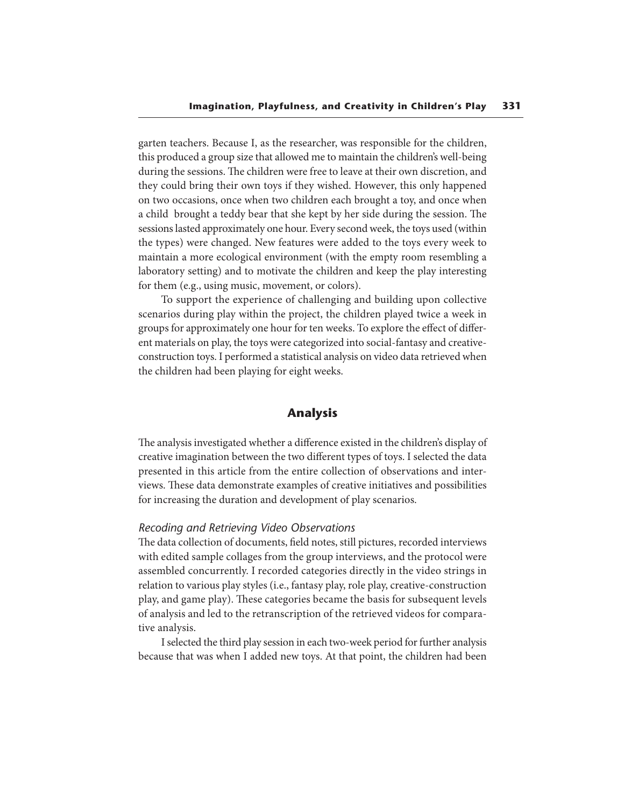garten teachers. Because I, as the researcher, was responsible for the children, this produced a group size that allowed me to maintain the children's well-being during the sessions. The children were free to leave at their own discretion, and they could bring their own toys if they wished. However, this only happened on two occasions, once when two children each brought a toy, and once when a child brought a teddy bear that she kept by her side during the session. The sessions lasted approximately one hour. Every second week, the toys used (within the types) were changed. New features were added to the toys every week to maintain a more ecological environment (with the empty room resembling a laboratory setting) and to motivate the children and keep the play interesting for them (e.g., using music, movement, or colors).

To support the experience of challenging and building upon collective scenarios during play within the project, the children played twice a week in groups for approximately one hour for ten weeks. To explore the effect of different materials on play, the toys were categorized into social-fantasy and creativeconstruction toys. I performed a statistical analysis on video data retrieved when the children had been playing for eight weeks.

### **Analysis**

The analysis investigated whether a difference existed in the children's display of creative imagination between the two different types of toys. I selected the data presented in this article from the entire collection of observations and interviews. These data demonstrate examples of creative initiatives and possibilities for increasing the duration and development of play scenarios.

### *Recoding and Retrieving Video Observations*

The data collection of documents, field notes, still pictures, recorded interviews with edited sample collages from the group interviews, and the protocol were assembled concurrently. I recorded categories directly in the video strings in relation to various play styles (i.e., fantasy play, role play, creative-construction play, and game play). These categories became the basis for subsequent levels of analysis and led to the retranscription of the retrieved videos for comparative analysis.

I selected the third play session in each two-week period for further analysis because that was when I added new toys. At that point, the children had been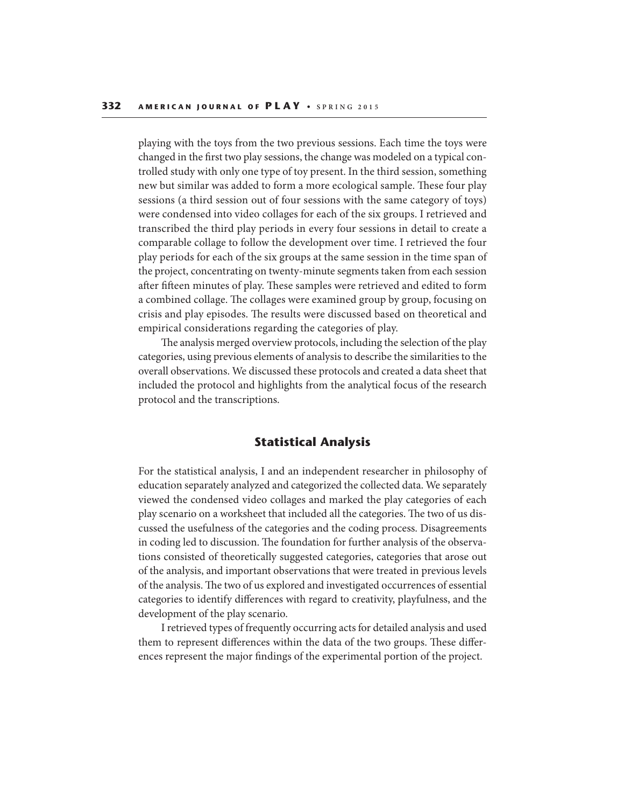playing with the toys from the two previous sessions. Each time the toys were changed in the first two play sessions, the change was modeled on a typical controlled study with only one type of toy present. In the third session, something new but similar was added to form a more ecological sample. These four play sessions (a third session out of four sessions with the same category of toys) were condensed into video collages for each of the six groups. I retrieved and transcribed the third play periods in every four sessions in detail to create a comparable collage to follow the development over time. I retrieved the four play periods for each of the six groups at the same session in the time span of the project, concentrating on twenty-minute segments taken from each session after fifteen minutes of play. These samples were retrieved and edited to form a combined collage. The collages were examined group by group, focusing on crisis and play episodes. The results were discussed based on theoretical and empirical considerations regarding the categories of play.

The analysis merged overview protocols, including the selection of the play categories, using previous elements of analysis to describe the similarities to the overall observations. We discussed these protocols and created a data sheet that included the protocol and highlights from the analytical focus of the research protocol and the transcriptions.

# **Statistical Analysis**

For the statistical analysis, I and an independent researcher in philosophy of education separately analyzed and categorized the collected data. We separately viewed the condensed video collages and marked the play categories of each play scenario on a worksheet that included all the categories. The two of us discussed the usefulness of the categories and the coding process. Disagreements in coding led to discussion. The foundation for further analysis of the observations consisted of theoretically suggested categories, categories that arose out of the analysis, and important observations that were treated in previous levels of the analysis. The two of us explored and investigated occurrences of essential categories to identify differences with regard to creativity, playfulness, and the development of the play scenario.

I retrieved types of frequently occurring acts for detailed analysis and used them to represent differences within the data of the two groups. These differences represent the major findings of the experimental portion of the project.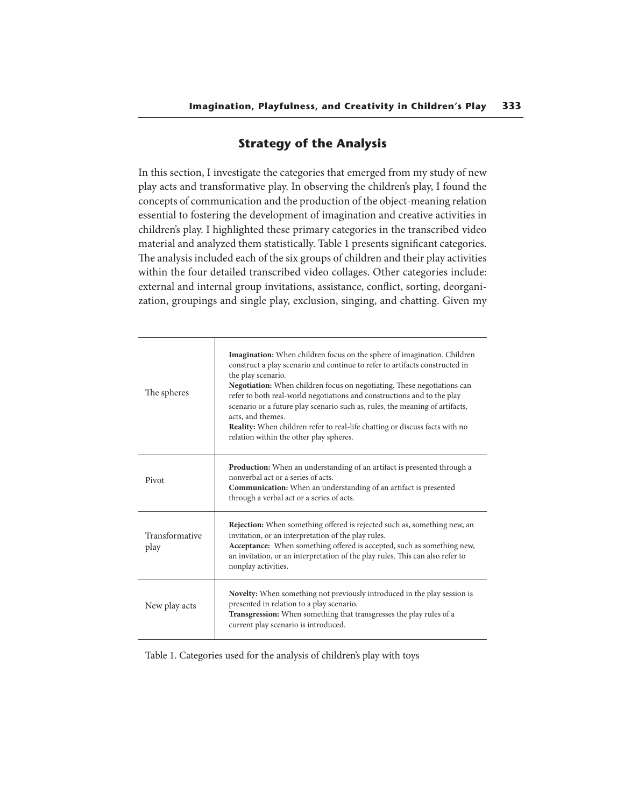# **Strategy of the Analysis**

In this section, I investigate the categories that emerged from my study of new play acts and transformative play. In observing the children's play, I found the concepts of communication and the production of the object-meaning relation essential to fostering the development of imagination and creative activities in children's play. I highlighted these primary categories in the transcribed video material and analyzed them statistically. Table 1 presents significant categories. The analysis included each of the six groups of children and their play activities within the four detailed transcribed video collages. Other categories include: external and internal group invitations, assistance, conflict, sorting, deorganization, groupings and single play, exclusion, singing, and chatting. Given my

| The spheres            | <b>Imagination:</b> When children focus on the sphere of imagination. Children<br>construct a play scenario and continue to refer to artifacts constructed in<br>the play scenario.<br><b>Negotiation:</b> When children focus on negotiating. These negotiations can<br>refer to both real-world negotiations and constructions and to the play<br>scenario or a future play scenario such as, rules, the meaning of artifacts,<br>acts, and themes.<br><b>Reality:</b> When children refer to real-life chatting or discuss facts with no<br>relation within the other play spheres. |
|------------------------|----------------------------------------------------------------------------------------------------------------------------------------------------------------------------------------------------------------------------------------------------------------------------------------------------------------------------------------------------------------------------------------------------------------------------------------------------------------------------------------------------------------------------------------------------------------------------------------|
| Pivot                  | <b>Production:</b> When an understanding of an artifact is presented through a<br>nonverbal act or a series of acts.<br><b>Communication:</b> When an understanding of an artifact is presented<br>through a verbal act or a series of acts.                                                                                                                                                                                                                                                                                                                                           |
| Transformative<br>play | <b>Rejection:</b> When something offered is rejected such as, something new, an<br>invitation, or an interpretation of the play rules.<br>Acceptance: When something offered is accepted, such as something new,<br>an invitation, or an interpretation of the play rules. This can also refer to<br>nonplay activities.                                                                                                                                                                                                                                                               |
| New play acts          | Novelty: When something not previously introduced in the play session is<br>presented in relation to a play scenario.<br>Transgression: When something that transgresses the play rules of a<br>current play scenario is introduced.                                                                                                                                                                                                                                                                                                                                                   |

Table 1. Categories used for the analysis of children's play with toys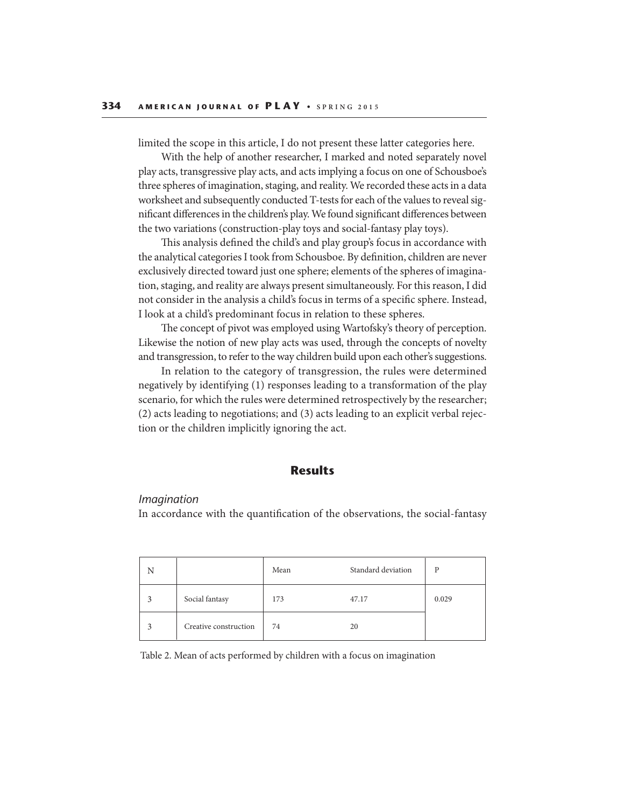limited the scope in this article, I do not present these latter categories here.

With the help of another researcher, I marked and noted separately novel play acts, transgressive play acts, and acts implying a focus on one of Schousboe's three spheres of imagination, staging, and reality. We recorded these acts in a data worksheet and subsequently conducted T-tests for each of the values to reveal significant differences in the children's play. We found significant differences between the two variations (construction-play toys and social-fantasy play toys).

This analysis defined the child's and play group's focus in accordance with the analytical categories I took from Schousboe. By definition, children are never exclusively directed toward just one sphere; elements of the spheres of imagination, staging, and reality are always present simultaneously. For this reason, I did not consider in the analysis a child's focus in terms of a specific sphere. Instead, I look at a child's predominant focus in relation to these spheres.

The concept of pivot was employed using Wartofsky's theory of perception. Likewise the notion of new play acts was used, through the concepts of novelty and transgression, to refer to the way children build upon each other's suggestions.

In relation to the category of transgression, the rules were determined negatively by identifying (1) responses leading to a transformation of the play scenario, for which the rules were determined retrospectively by the researcher; (2) acts leading to negotiations; and (3) acts leading to an explicit verbal rejection or the children implicitly ignoring the act.

# **Results**

#### *Imagination*

In accordance with the quantification of the observations, the social-fantasy

| N |                       | Mean | Standard deviation | P     |
|---|-----------------------|------|--------------------|-------|
|   | Social fantasy        | 173  | 47.17              | 0.029 |
|   | Creative construction | 74   | 20                 |       |

Table 2. Mean of acts performed by children with a focus on imagination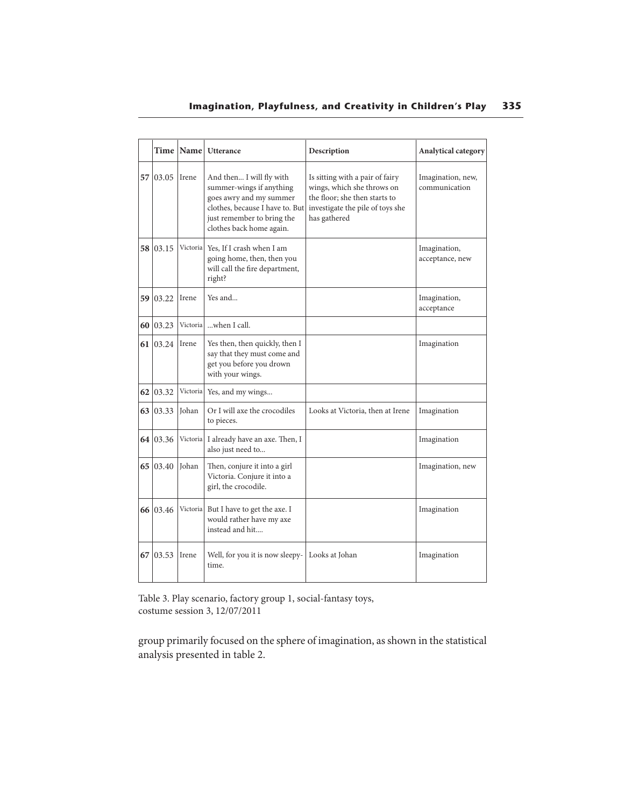# **Imagination, Playfulness, and Creativity in Children's Play 335**

|    |          | Time   Name   | <b>Utterance</b>                                                                                                                                                             | Description                                                                                                                                        | Analytical category                |
|----|----------|---------------|------------------------------------------------------------------------------------------------------------------------------------------------------------------------------|----------------------------------------------------------------------------------------------------------------------------------------------------|------------------------------------|
|    | 57 03.05 | Irene         | And then I will fly with<br>summer-wings if anything<br>goes awry and my summer<br>clothes, because I have to. But<br>just remember to bring the<br>clothes back home again. | Is sitting with a pair of fairy<br>wings, which she throws on<br>the floor; she then starts to<br>investigate the pile of toys she<br>has gathered | Imagination, new,<br>communication |
|    | 58 03.15 |               | Victoria Yes, If I crash when I am<br>going home, then, then you<br>will call the fire department,<br>right?                                                                 |                                                                                                                                                    | Imagination,<br>acceptance, new    |
|    | 59 03.22 | <b>I</b> rene | Yes and                                                                                                                                                                      |                                                                                                                                                    | Imagination,<br>acceptance         |
| 60 | 03.23    | Victoria      | when I call.                                                                                                                                                                 |                                                                                                                                                    |                                    |
|    | 61 03.24 | Irene         | Yes then, then quickly, then I<br>say that they must come and<br>get you before you drown<br>with your wings.                                                                |                                                                                                                                                    | Imagination                        |
| 62 | 03.32    | Victoria      | Yes, and my wings                                                                                                                                                            |                                                                                                                                                    |                                    |
|    | 63 03.33 | <b>Johan</b>  | Or I will axe the crocodiles<br>to pieces.                                                                                                                                   | Looks at Victoria, then at Irene                                                                                                                   | Imagination                        |
|    | 64 03.36 | Victoria      | I already have an axe. Then, I<br>also just need to                                                                                                                          |                                                                                                                                                    | Imagination                        |
|    | 65 03.40 | <b>Johan</b>  | Then, conjure it into a girl<br>Victoria. Conjure it into a<br>girl, the crocodile.                                                                                          |                                                                                                                                                    | Imagination, new                   |
|    | 66 03.46 |               | Victoria But I have to get the axe. I<br>would rather have my axe<br>instead and hit                                                                                         |                                                                                                                                                    | Imagination                        |
|    | 67 03.53 | Irene         | Well, for you it is now sleepy-<br>time.                                                                                                                                     | Looks at Johan                                                                                                                                     | Imagination                        |

Table 3. Play scenario, factory group 1, social-fantasy toys, costume session 3, 12/07/2011

group primarily focused on the sphere of imagination, as shown in the statistical analysis presented in table 2.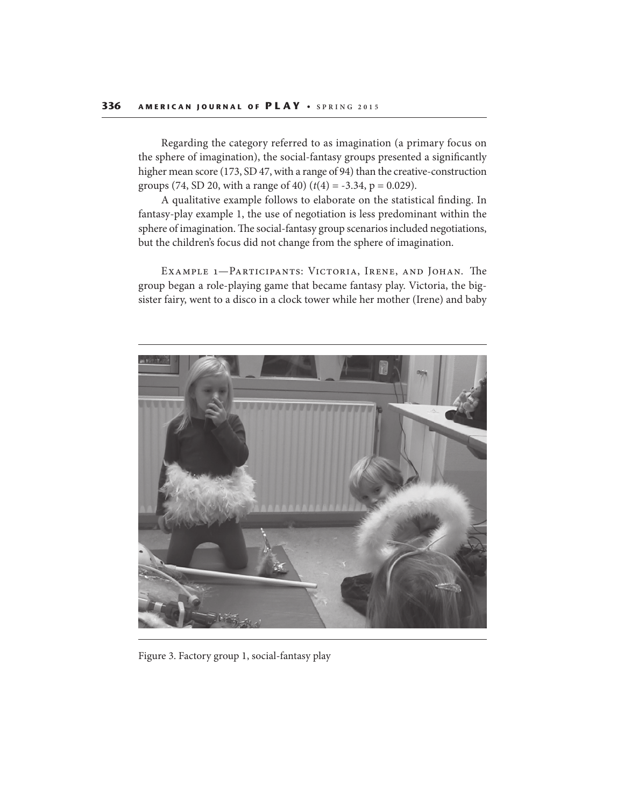Regarding the category referred to as imagination (a primary focus on the sphere of imagination), the social-fantasy groups presented a significantly higher mean score (173, SD 47, with a range of 94) than the creative-construction groups (74, SD 20, with a range of 40)  $(t(4) = -3.34, p = 0.029)$ .

A qualitative example follows to elaborate on the statistical finding. In fantasy-play example 1, the use of negotiation is less predominant within the sphere of imagination. The social-fantasy group scenarios included negotiations, but the children's focus did not change from the sphere of imagination.

EXAMPLE 1-PARTICIPANTS: VICTORIA, IRENE, AND JOHAN. The group began a role-playing game that became fantasy play. Victoria, the bigsister fairy, went to a disco in a clock tower while her mother (Irene) and baby



Figure 3. Factory group 1, social-fantasy play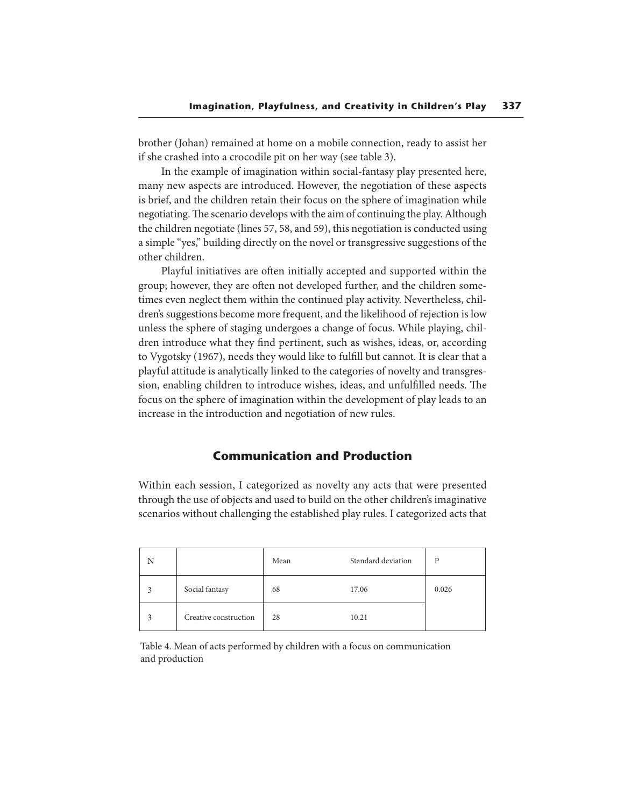brother (Johan) remained at home on a mobile connection, ready to assist her if she crashed into a crocodile pit on her way (see table 3).

In the example of imagination within social-fantasy play presented here, many new aspects are introduced. However, the negotiation of these aspects is brief, and the children retain their focus on the sphere of imagination while negotiating. The scenario develops with the aim of continuing the play. Although the children negotiate (lines 57, 58, and 59), this negotiation is conducted using a simple "yes," building directly on the novel or transgressive suggestions of the other children.

Playful initiatives are often initially accepted and supported within the group; however, they are often not developed further, and the children sometimes even neglect them within the continued play activity. Nevertheless, children's suggestions become more frequent, and the likelihood of rejection is low unless the sphere of staging undergoes a change of focus. While playing, children introduce what they find pertinent, such as wishes, ideas, or, according to Vygotsky (1967), needs they would like to fulfill but cannot. It is clear that a playful attitude is analytically linked to the categories of novelty and transgression, enabling children to introduce wishes, ideas, and unfulfilled needs. The focus on the sphere of imagination within the development of play leads to an increase in the introduction and negotiation of new rules.

# **Communication and Production**

Within each session, I categorized as novelty any acts that were presented through the use of objects and used to build on the other children's imaginative scenarios without challenging the established play rules. I categorized acts that

| N |                       | Mean | Standard deviation | P     |
|---|-----------------------|------|--------------------|-------|
| 3 | Social fantasy        | 68   | 17.06              | 0.026 |
| 3 | Creative construction | 28   | 10.21              |       |

Table 4. Mean of acts performed by children with a focus on communication and production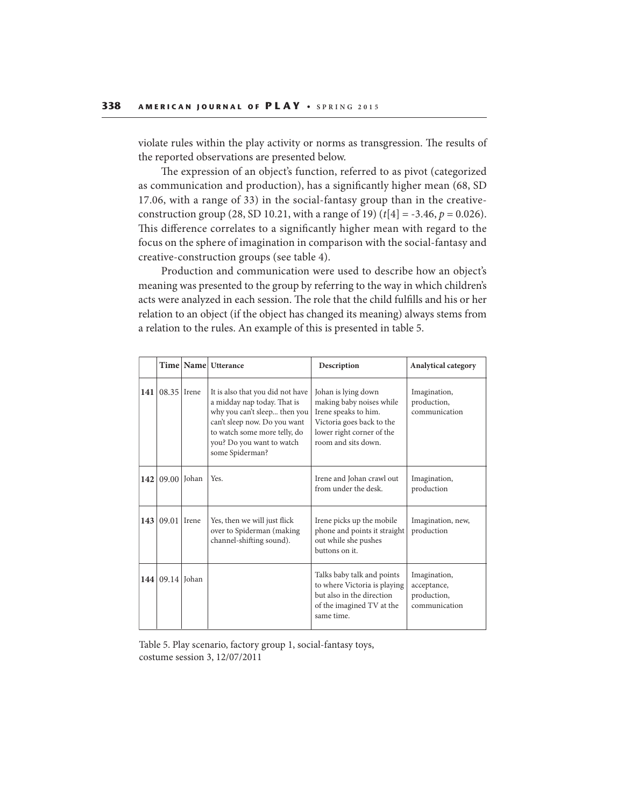violate rules within the play activity or norms as transgression. The results of the reported observations are presented below.

The expression of an object's function, referred to as pivot (categorized as communication and production), has a significantly higher mean (68, SD 17.06, with a range of 33) in the social-fantasy group than in the creativeconstruction group (28, SD 10.21, with a range of 19)  $(t[4] = -3.46, p = 0.026)$ . This difference correlates to a significantly higher mean with regard to the focus on the sphere of imagination in comparison with the social-fantasy and creative-construction groups (see table 4).

Production and communication were used to describe how an object's meaning was presented to the group by referring to the way in which children's acts were analyzed in each session. The role that the child fulfills and his or her relation to an object (if the object has changed its meaning) always stems from a relation to the rules. An example of this is presented in table 5.

|     |                     |             | Time   Name   Utterance                                                                                                                                                                                         | Description                                                                                                                                              | <b>Analytical category</b>                                  |
|-----|---------------------|-------------|-----------------------------------------------------------------------------------------------------------------------------------------------------------------------------------------------------------------|----------------------------------------------------------------------------------------------------------------------------------------------------------|-------------------------------------------------------------|
| 141 | 08.35               | Irene       | It is also that you did not have<br>a midday nap today. That is<br>why you can't sleep then you<br>can't sleep now. Do you want<br>to watch some more telly, do<br>you? Do you want to watch<br>some Spiderman? | Johan is lying down<br>making baby noises while<br>Irene speaks to him.<br>Victoria goes back to the<br>lower right corner of the<br>room and sits down. | Imagination,<br>production,<br>communication                |
| 142 |                     | 09.00 Johan | Yes.                                                                                                                                                                                                            | Irene and Johan crawl out<br>from under the desk.                                                                                                        | Imagination,<br>production                                  |
| 143 | 09.01               | Irene       | Yes, then we will just flick<br>over to Spiderman (making<br>channel-shifting sound).                                                                                                                           | Irene picks up the mobile<br>phone and points it straight<br>out while she pushes<br>buttons on it.                                                      | Imagination, new,<br>production                             |
|     | 144   09.14   Johan |             |                                                                                                                                                                                                                 | Talks baby talk and points<br>to where Victoria is playing<br>but also in the direction<br>of the imagined TV at the<br>same time.                       | Imagination,<br>acceptance,<br>production,<br>communication |

Table 5. Play scenario, factory group 1, social-fantasy toys, costume session 3, 12/07/2011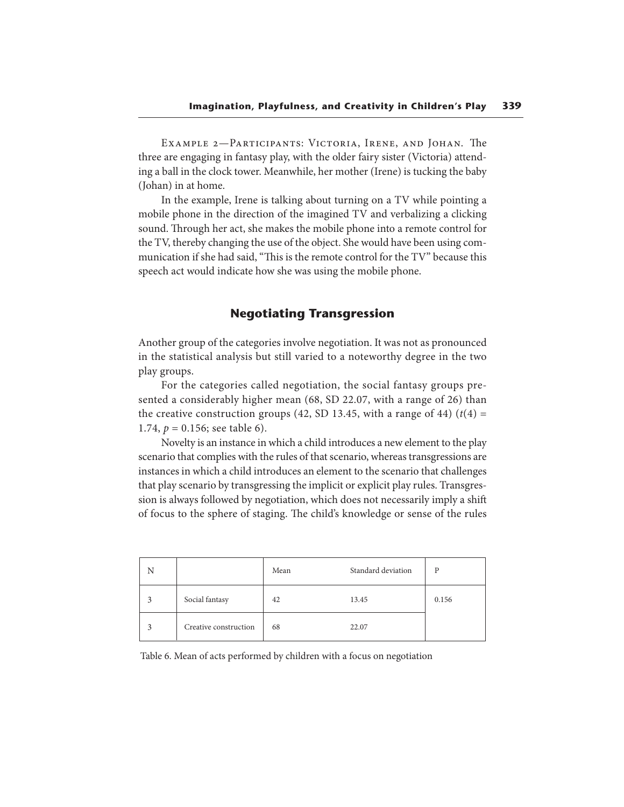EXAMPLE 2-PARTICIPANTS: VICTORIA, IRENE, AND JOHAN. The three are engaging in fantasy play, with the older fairy sister (Victoria) attending a ball in the clock tower. Meanwhile, her mother (Irene) is tucking the baby (Johan) in at home.

In the example, Irene is talking about turning on a TV while pointing a mobile phone in the direction of the imagined TV and verbalizing a clicking sound. Through her act, she makes the mobile phone into a remote control for the TV, thereby changing the use of the object. She would have been using communication if she had said, "This is the remote control for the TV" because this speech act would indicate how she was using the mobile phone.

## **Negotiating Transgression**

Another group of the categories involve negotiation. It was not as pronounced in the statistical analysis but still varied to a noteworthy degree in the two play groups.

For the categories called negotiation, the social fantasy groups presented a considerably higher mean (68, SD 22.07, with a range of 26) than the creative construction groups (42, SD 13.45, with a range of 44) ( $t(4)$  = 1.74,  $p = 0.156$ ; see table 6).

Novelty is an instance in which a child introduces a new element to the play scenario that complies with the rules of that scenario, whereas transgressions are instances in which a child introduces an element to the scenario that challenges that play scenario by transgressing the implicit or explicit play rules. Transgression is always followed by negotiation, which does not necessarily imply a shift of focus to the sphere of staging. The child's knowledge or sense of the rules

| N |                       | Mean | Standard deviation | D     |
|---|-----------------------|------|--------------------|-------|
|   | Social fantasy        | 42   | 13.45              | 0.156 |
|   | Creative construction | 68   | 22.07              |       |

Table 6. Mean of acts performed by children with a focus on negotiation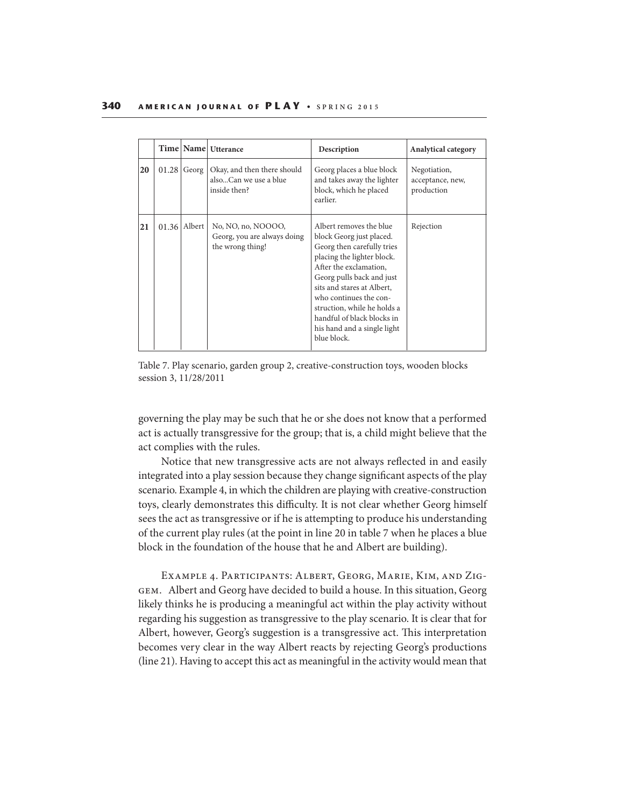|    |       |                  | Time   Name   Utterance                                               | Description                                                                                                                                                                                                                                                                                                                               | <b>Analytical category</b>                     |
|----|-------|------------------|-----------------------------------------------------------------------|-------------------------------------------------------------------------------------------------------------------------------------------------------------------------------------------------------------------------------------------------------------------------------------------------------------------------------------------|------------------------------------------------|
| 20 | 01.28 | Georg            | Okay, and then there should<br>alsoCan we use a blue<br>inside then?  | Georg places a blue block<br>and takes away the lighter<br>block, which he placed<br>earlier.                                                                                                                                                                                                                                             | Negotiation,<br>acceptance, new,<br>production |
| 21 |       | $01.36$   Albert | No, NO, no, NOOOO,<br>Georg, you are always doing<br>the wrong thing! | Albert removes the blue<br>block Georg just placed.<br>Georg then carefully tries<br>placing the lighter block.<br>After the exclamation,<br>Georg pulls back and just<br>sits and stares at Albert.<br>who continues the con-<br>struction, while he holds a<br>handful of black blocks in<br>his hand and a single light<br>blue block. | Rejection                                      |

Table 7. Play scenario, garden group 2, creative-construction toys, wooden blocks session 3, 11/28/2011

governing the play may be such that he or she does not know that a performed act is actually transgressive for the group; that is, a child might believe that the act complies with the rules.

Notice that new transgressive acts are not always reflected in and easily integrated into a play session because they change significant aspects of the play scenario. Example 4, in which the children are playing with creative-construction toys, clearly demonstrates this difficulty. It is not clear whether Georg himself sees the act as transgressive or if he is attempting to produce his understanding of the current play rules (at the point in line 20 in table 7 when he places a blue block in the foundation of the house that he and Albert are building).

EXAMPLE 4. PARTICIPANTS: ALBERT, GEORG, MARIE, KIM, AND ZIGgem. Albert and Georg have decided to build a house. In this situation, Georg likely thinks he is producing a meaningful act within the play activity without regarding his suggestion as transgressive to the play scenario. It is clear that for Albert, however, Georg's suggestion is a transgressive act. This interpretation becomes very clear in the way Albert reacts by rejecting Georg's productions (line 21). Having to accept this act as meaningful in the activity would mean that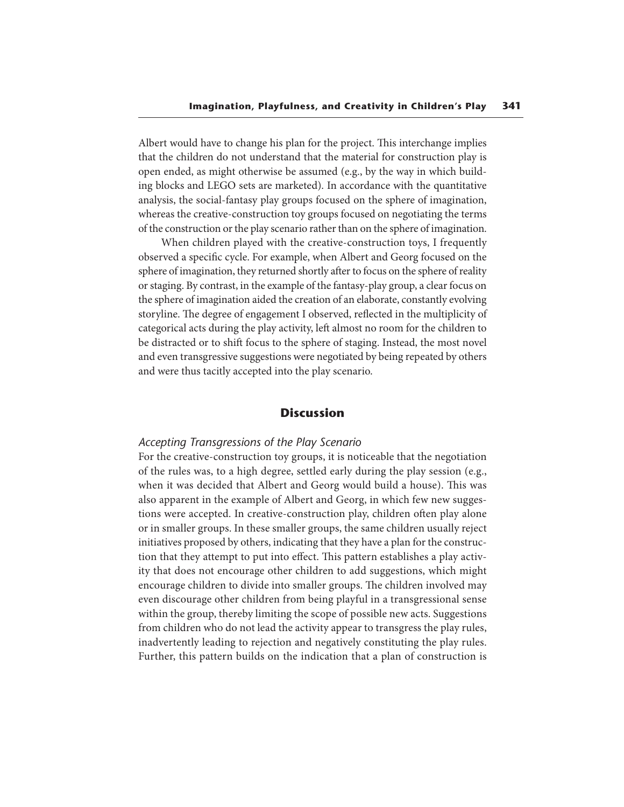Albert would have to change his plan for the project. This interchange implies that the children do not understand that the material for construction play is open ended, as might otherwise be assumed (e.g., by the way in which building blocks and LEGO sets are marketed). In accordance with the quantitative analysis, the social-fantasy play groups focused on the sphere of imagination, whereas the creative-construction toy groups focused on negotiating the terms of the construction or the play scenario rather than on the sphere of imagination.

When children played with the creative-construction toys, I frequently observed a specific cycle. For example, when Albert and Georg focused on the sphere of imagination, they returned shortly after to focus on the sphere of reality or staging. By contrast, in the example of the fantasy-play group, a clear focus on the sphere of imagination aided the creation of an elaborate, constantly evolving storyline. The degree of engagement I observed, reflected in the multiplicity of categorical acts during the play activity, left almost no room for the children to be distracted or to shift focus to the sphere of staging. Instead, the most novel and even transgressive suggestions were negotiated by being repeated by others and were thus tacitly accepted into the play scenario.

### **Discussion**

### *Accepting Transgressions of the Play Scenario*

For the creative-construction toy groups, it is noticeable that the negotiation of the rules was, to a high degree, settled early during the play session (e.g., when it was decided that Albert and Georg would build a house). This was also apparent in the example of Albert and Georg, in which few new suggestions were accepted. In creative-construction play, children often play alone or in smaller groups. In these smaller groups, the same children usually reject initiatives proposed by others, indicating that they have a plan for the construction that they attempt to put into effect. This pattern establishes a play activity that does not encourage other children to add suggestions, which might encourage children to divide into smaller groups. The children involved may even discourage other children from being playful in a transgressional sense within the group, thereby limiting the scope of possible new acts. Suggestions from children who do not lead the activity appear to transgress the play rules, inadvertently leading to rejection and negatively constituting the play rules. Further, this pattern builds on the indication that a plan of construction is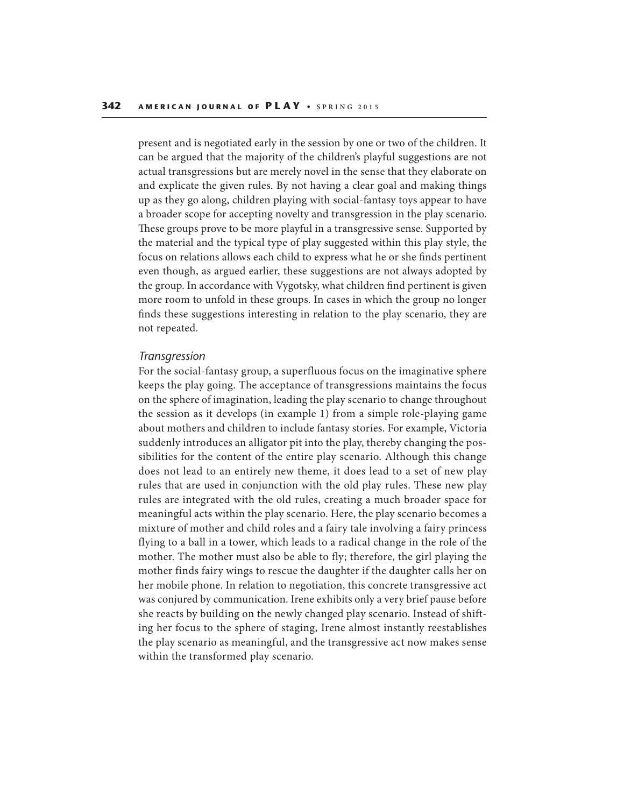present and is negotiated early in the session by one or two of the children. It can be argued that the majority of the children's playful suggestions are not actual transgressions but are merely novel in the sense that they elaborate on and explicate the given rules. By not having a clear goal and making things up as they go along, children playing with social-fantasy toys appear to have a broader scope for accepting novelty and transgression in the play scenario. These groups prove to be more playful in a transgressive sense. Supported by the material and the typical type of play suggested within this play style, the focus on relations allows each child to express what he or she finds pertinent even though, as argued earlier, these suggestions are not always adopted by the group. In accordance with Vygotsky, what children find pertinent is given more room to unfold in these groups. In cases in which the group no longer finds these suggestions interesting in relation to the play scenario, they are not repeated.

#### *Transgression*

For the social-fantasy group, a superfluous focus on the imaginative sphere keeps the play going. The acceptance of transgressions maintains the focus on the sphere of imagination, leading the play scenario to change throughout the session as it develops (in example 1) from a simple role-playing game about mothers and children to include fantasy stories. For example, Victoria suddenly introduces an alligator pit into the play, thereby changing the possibilities for the content of the entire play scenario. Although this change does not lead to an entirely new theme, it does lead to a set of new play rules that are used in conjunction with the old play rules. These new play rules are integrated with the old rules, creating a much broader space for meaningful acts within the play scenario. Here, the play scenario becomes a mixture of mother and child roles and a fairy tale involving a fairy princess flying to a ball in a tower, which leads to a radical change in the role of the mother. The mother must also be able to fly; therefore, the girl playing the mother finds fairy wings to rescue the daughter if the daughter calls her on her mobile phone. In relation to negotiation, this concrete transgressive act was conjured by communication. Irene exhibits only a very brief pause before she reacts by building on the newly changed play scenario. Instead of shifting her focus to the sphere of staging, Irene almost instantly reestablishes the play scenario as meaningful, and the transgressive act now makes sense within the transformed play scenario.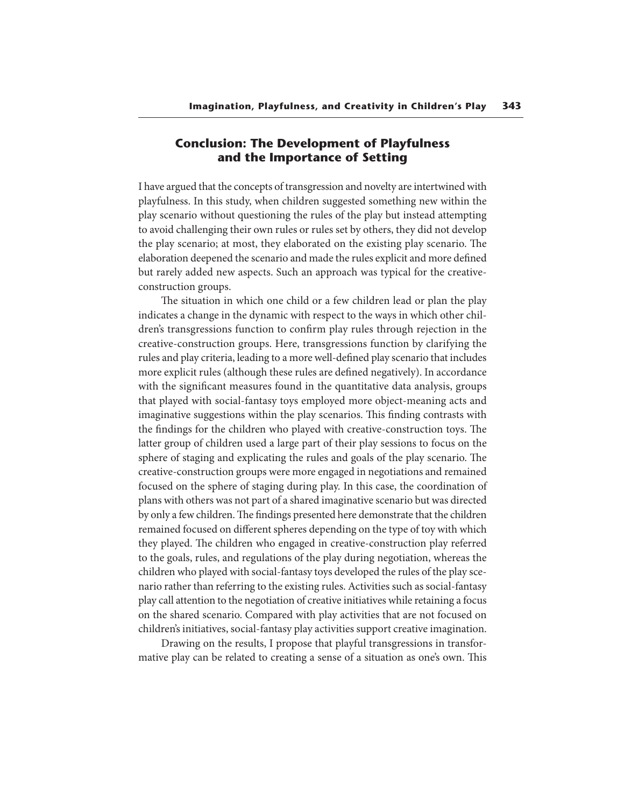# **Conclusion: The Development of Playfulness and the Importance of Setting**

I have argued that the concepts of transgression and novelty are intertwined with playfulness. In this study, when children suggested something new within the play scenario without questioning the rules of the play but instead attempting to avoid challenging their own rules or rules set by others, they did not develop the play scenario; at most, they elaborated on the existing play scenario. The elaboration deepened the scenario and made the rules explicit and more defined but rarely added new aspects. Such an approach was typical for the creativeconstruction groups.

The situation in which one child or a few children lead or plan the play indicates a change in the dynamic with respect to the ways in which other children's transgressions function to confirm play rules through rejection in the creative-construction groups. Here, transgressions function by clarifying the rules and play criteria, leading to a more well-defined play scenario that includes more explicit rules (although these rules are defined negatively). In accordance with the significant measures found in the quantitative data analysis, groups that played with social-fantasy toys employed more object-meaning acts and imaginative suggestions within the play scenarios. This finding contrasts with the findings for the children who played with creative-construction toys. The latter group of children used a large part of their play sessions to focus on the sphere of staging and explicating the rules and goals of the play scenario. The creative-construction groups were more engaged in negotiations and remained focused on the sphere of staging during play. In this case, the coordination of plans with others was not part of a shared imaginative scenario but was directed by only a few children. The findings presented here demonstrate that the children remained focused on different spheres depending on the type of toy with which they played. The children who engaged in creative-construction play referred to the goals, rules, and regulations of the play during negotiation, whereas the children who played with social-fantasy toys developed the rules of the play scenario rather than referring to the existing rules. Activities such as social-fantasy play call attention to the negotiation of creative initiatives while retaining a focus on the shared scenario. Compared with play activities that are not focused on children's initiatives, social-fantasy play activities support creative imagination.

Drawing on the results, I propose that playful transgressions in transformative play can be related to creating a sense of a situation as one's own. This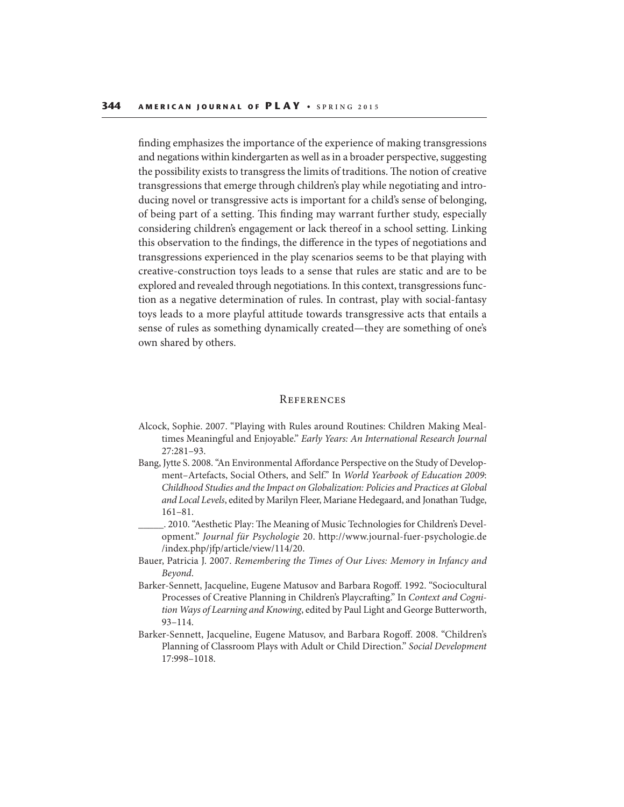finding emphasizes the importance of the experience of making transgressions and negations within kindergarten as well as in a broader perspective, suggesting the possibility exists to transgress the limits of traditions. The notion of creative transgressions that emerge through children's play while negotiating and introducing novel or transgressive acts is important for a child's sense of belonging, of being part of a setting. This finding may warrant further study, especially considering children's engagement or lack thereof in a school setting. Linking this observation to the findings, the difference in the types of negotiations and transgressions experienced in the play scenarios seems to be that playing with creative-construction toys leads to a sense that rules are static and are to be explored and revealed through negotiations. In this context, transgressions function as a negative determination of rules. In contrast, play with social-fantasy toys leads to a more playful attitude towards transgressive acts that entails a sense of rules as something dynamically created—they are something of one's own shared by others.

#### **REFERENCES**

- Alcock, Sophie. 2007. "Playing with Rules around Routines: Children Making Mealtimes Meaningful and Enjoyable." Early Years: An International Research Journal 27:281–93.
- Bang, Jytte S. 2008. "An Environmental Affordance Perspective on the Study of Development–Artefacts, Social Others, and Self." In World Yearbook of Education 2009: Childhood Studies and the Impact on Globalization: Policies and Practices at Global and Local Levels, edited by Marilyn Fleer, Mariane Hedegaard, and Jonathan Tudge, 161–81.
- . 2010. "Aesthetic Play: The Meaning of Music Technologies for Children's Development." Journal für Psychologie 20. http://www.journal-fuer-psychologie.de /index.php/jfp/article/view/114/20.
- Bauer, Patricia J. 2007. Remembering the Times of Our Lives: Memory in Infancy and Beyond.
- Barker-Sennett, Jacqueline, Eugene Matusov and Barbara Rogoff. 1992. "Sociocultural Processes of Creative Planning in Children's Playcrafting." In Context and Cognition Ways of Learning and Knowing, edited by Paul Light and George Butterworth, 93–114.
- Barker-Sennett, Jacqueline, Eugene Matusov, and Barbara Rogoff. 2008. "Children's Planning of Classroom Plays with Adult or Child Direction." Social Development 17:998–1018.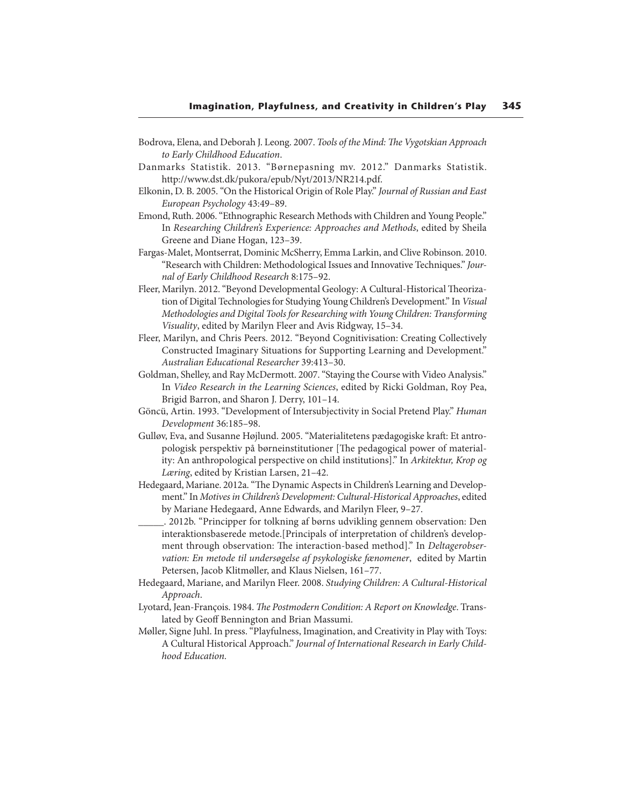- Bodrova, Elena, and Deborah J. Leong. 2007. Tools of the Mind: The Vygotskian Approach to Early Childhood Education.
- Danmarks Statistik. 2013. "Børnepasning mv. 2012." Danmarks Statistik. http://www.dst.dk/pukora/epub/Nyt/2013/NR214.pdf.
- Elkonin, D. B. 2005. "On the Historical Origin of Role Play." Journal of Russian and East European Psychology 43:49–89.
- Emond, Ruth. 2006. "Ethnographic Research Methods with Children and Young People." In Researching Children's Experience: Approaches and Methods, edited by Sheila Greene and Diane Hogan, 123–39.
- Fargas-Malet, Montserrat, Dominic McSherry, Emma Larkin, and Clive Robinson. 2010. "Research with Children: Methodological Issues and Innovative Techniques." Journal of Early Childhood Research 8:175–92.
- Fleer, Marilyn. 2012. "Beyond Developmental Geology: A Cultural-Historical Theorization of Digital Technologies for Studying Young Children's Development." In Visual Methodologies and Digital Tools for Researching with Young Children: Transforming Visuality, edited by Marilyn Fleer and Avis Ridgway, 15–34.
- Fleer, Marilyn, and Chris Peers. 2012. "Beyond Cognitivisation: Creating Collectively Constructed Imaginary Situations for Supporting Learning and Development." Australian Educational Researcher 39:413–30.
- Goldman, Shelley, and Ray McDermott. 2007. "Staying the Course with Video Analysis." In Video Research in the Learning Sciences, edited by Ricki Goldman, Roy Pea, Brigid Barron, and Sharon J. Derry, 101–14.
- Göncü, Artin. 1993. "Development of Intersubjectivity in Social Pretend Play." Human Development 36:185–98.
- Gulløv, Eva, and Susanne Højlund. 2005. "Materialitetens pædagogiske kraft: Et antropologisk perspektiv på børneinstitutioner [The pedagogical power of materiality: An anthropological perspective on child institutions]." In Arkitektur, Krop og Læring, edited by Kristian Larsen, 21–42.
- Hedegaard, Mariane. 2012a. "The Dynamic Aspects in Children's Learning and Development." In Motives in Children's Development: Cultural-Historical Approaches, edited by Mariane Hedegaard, Anne Edwards, and Marilyn Fleer, 9–27.
- \_\_\_\_\_. 2012b. "Principper for tolkning af børns udvikling gennem observation: Den interaktionsbaserede metode.[Principals of interpretation of children's development through observation: The interaction-based method]." In Deltagerobservation: En metode til undersøgelse af psykologiske fænomener, edited by Martin Petersen, Jacob Klitmøller, and Klaus Nielsen, 161–77.
- Hedegaard, Mariane, and Marilyn Fleer. 2008. Studying Children: A Cultural-Historical Approach.
- Lyotard, Jean-François. 1984. The Postmodern Condition: A Report on Knowledge. Translated by Geoff Bennington and Brian Massumi.
- Møller, Signe Juhl. In press. "Playfulness, Imagination, and Creativity in Play with Toys: A Cultural Historical Approach." Journal of International Research in Early Childhood Education.